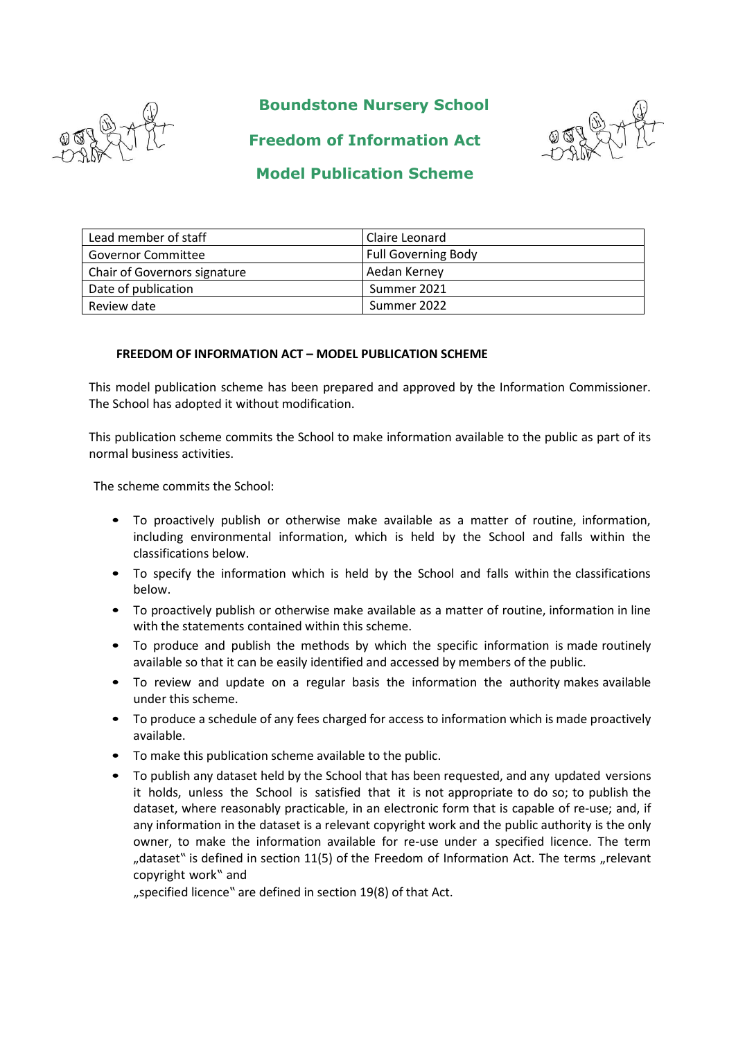

**Boundstone Nursery School**



**Freedom of Information Act**

# **Model Publication Scheme**

| Lead member of staff         | Claire Leonard             |
|------------------------------|----------------------------|
| <b>Governor Committee</b>    | <b>Full Governing Body</b> |
| Chair of Governors signature | Aedan Kerney               |
| Date of publication          | Summer 2021                |
| Review date                  | Summer 2022                |

## **FREEDOM OF INFORMATION ACT – MODEL PUBLICATION SCHEME**

This model publication scheme has been prepared and approved by the Information Commissioner. The School has adopted it without modification.

This publication scheme commits the School to make information available to the public as part of its normal business activities.

The scheme commits the School:

- To proactively publish or otherwise make available as a matter of routine, information, including environmental information, which is held by the School and falls within the classifications below.
- To specify the information which is held by the School and falls within the classifications below.
- To proactively publish or otherwise make available as a matter of routine, information in line with the statements contained within this scheme.
- To produce and publish the methods by which the specific information is made routinely available so that it can be easily identified and accessed by members of the public.
- To review and update on a regular basis the information the authority makes available under this scheme.
- To produce a schedule of any fees charged for access to information which is made proactively available.
- To make this publication scheme available to the public.
- To publish any dataset held by the School that has been requested, and any updated versions it holds, unless the School is satisfied that it is not appropriate to do so; to publish the dataset, where reasonably practicable, in an electronic form that is capable of re-use; and, if any information in the dataset is a relevant copyright work and the public authority is the only owner, to make the information available for re-use under a specified licence. The term "dataset" is defined in section 11(5) of the Freedom of Information Act. The terms "relevant copyright work" and

"specified licence" are defined in section 19(8) of that Act.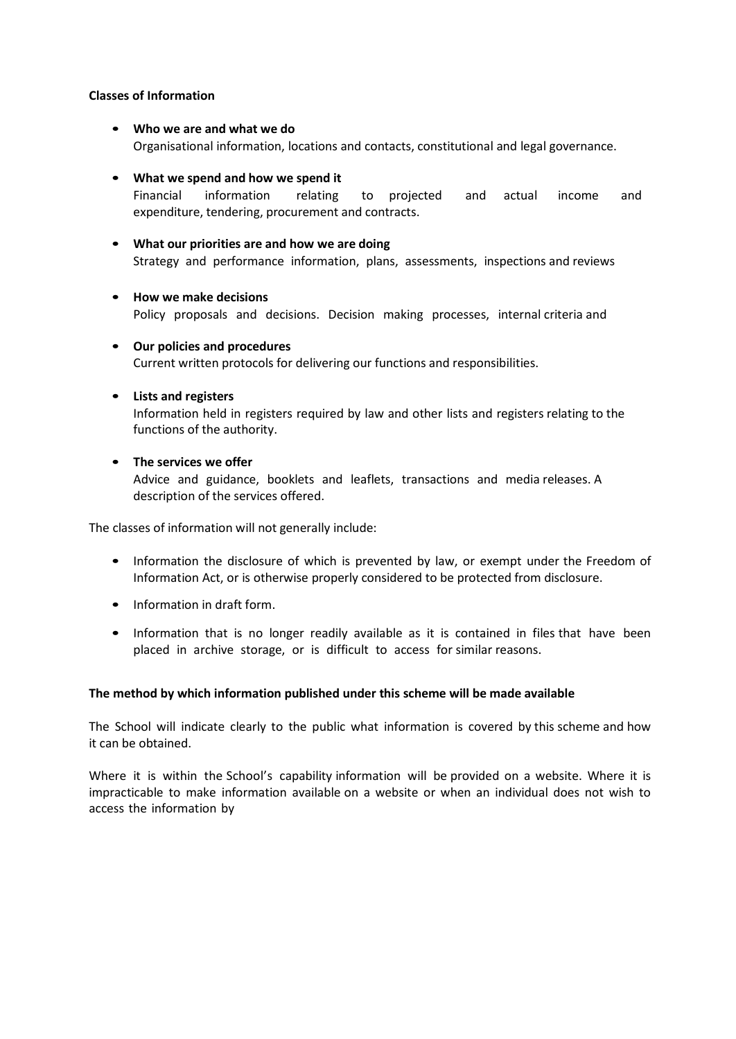### **Classes of Information**

- **Who we are and what we do** Organisational information, locations and contacts, constitutional and legal governance.
- **What we spend and how we spend it** Financial information relating to projected and actual income and expenditure, tendering, procurement and contracts.
- **What our priorities are and how we are doing** Strategy and performance information, plans, assessments, inspections and reviews
- **How we make decisions** Policy proposals and decisions. Decision making processes, internal criteria and
- **Our policies and procedures** Current written protocols for delivering our functions and responsibilities.
- **Lists and registers**

Information held in registers required by law and other lists and registers relating to the functions of the authority.

• **The services we offer**

Advice and guidance, booklets and leaflets, transactions and media releases. A description of the services offered.

The classes of information will not generally include:

- Information the disclosure of which is prevented by law, or exempt under the Freedom of Information Act, or is otherwise properly considered to be protected from disclosure.
- Information in draft form.
- Information that is no longer readily available as it is contained in files that have been placed in archive storage, or is difficult to access for similar reasons.

## **The method by which information published under this scheme will be made available**

The School will indicate clearly to the public what information is covered by this scheme and how it can be obtained.

Where it is within the School's capability information will be provided on a website. Where it is impracticable to make information available on a website or when an individual does not wish to access the information by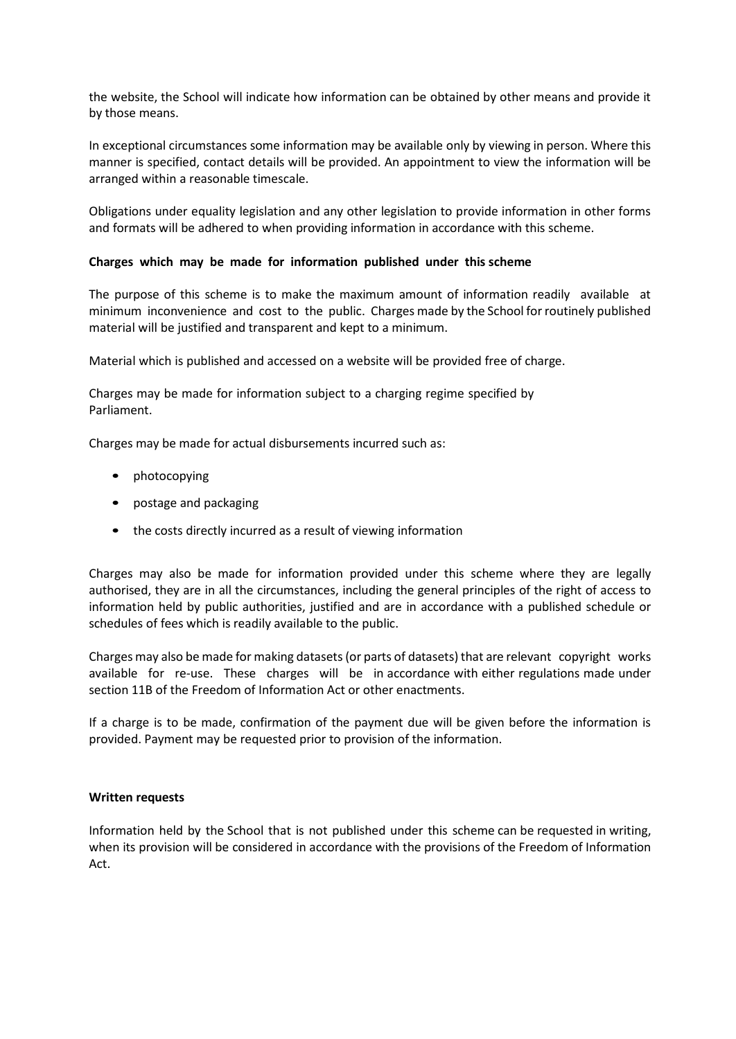the website, the School will indicate how information can be obtained by other means and provide it by those means.

In exceptional circumstances some information may be available only by viewing in person. Where this manner is specified, contact details will be provided. An appointment to view the information will be arranged within a reasonable timescale.

Obligations under equality legislation and any other legislation to provide information in other forms and formats will be adhered to when providing information in accordance with this scheme.

## **Charges which may be made for information published under this scheme**

The purpose of this scheme is to make the maximum amount of information readily available at minimum inconvenience and cost to the public. Charges made by the School for routinely published material will be justified and transparent and kept to a minimum.

Material which is published and accessed on a website will be provided free of charge.

Charges may be made for information subject to a charging regime specified by Parliament.

Charges may be made for actual disbursements incurred such as:

- photocopying
- postage and packaging
- the costs directly incurred as a result of viewing information

Charges may also be made for information provided under this scheme where they are legally authorised, they are in all the circumstances, including the general principles of the right of access to information held by public authorities, justified and are in accordance with a published schedule or schedules of fees which is readily available to the public.

Charges may also be made for making datasets(or parts of datasets) that are relevant copyright works available for re-use. These charges will be in accordance with either regulations made under section 11B of the Freedom of Information Act or other enactments.

If a charge is to be made, confirmation of the payment due will be given before the information is provided. Payment may be requested prior to provision of the information.

### **Written requests**

Information held by the School that is not published under this scheme can be requested in writing, when its provision will be considered in accordance with the provisions of the Freedom of Information Act.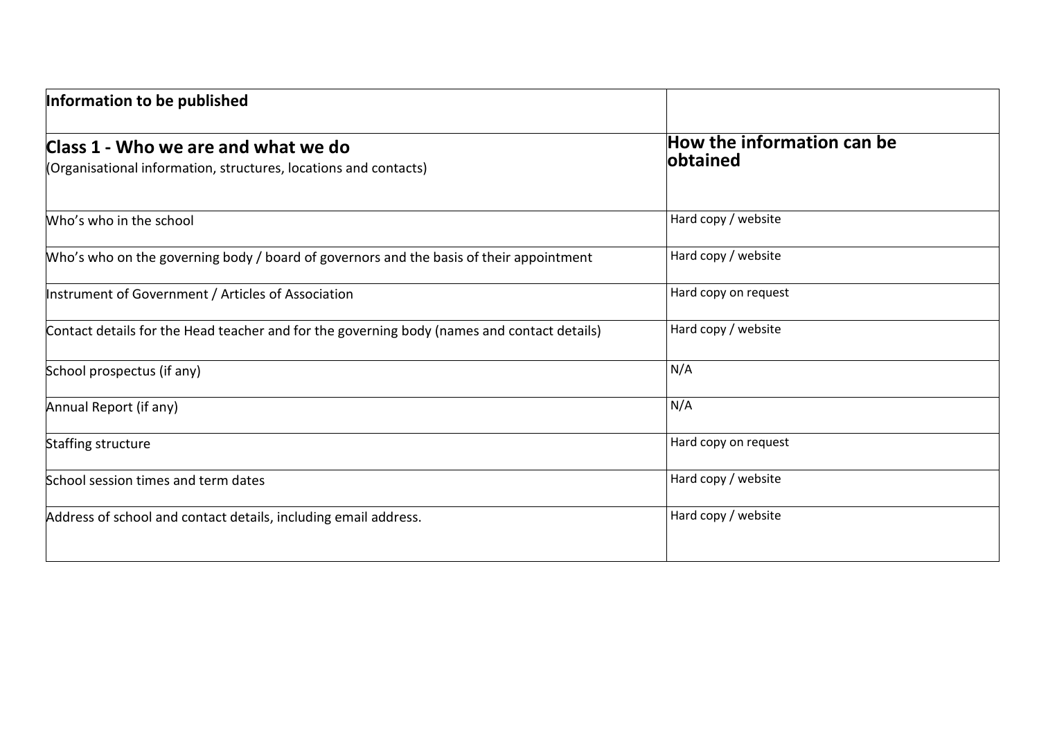| Information to be published                                                                             |                                                |
|---------------------------------------------------------------------------------------------------------|------------------------------------------------|
| Class 1 - Who we are and what we do<br>(Organisational information, structures, locations and contacts) | How the information can be<br><b>lobtained</b> |
| Who's who in the school                                                                                 | Hard copy / website                            |
| Who's who on the governing body / board of governors and the basis of their appointment                 | Hard copy / website                            |
| Instrument of Government / Articles of Association                                                      | Hard copy on request                           |
| Contact details for the Head teacher and for the governing body (names and contact details)             | Hard copy / website                            |
| School prospectus (if any)                                                                              | N/A                                            |
| Annual Report (if any)                                                                                  | N/A                                            |
| Staffing structure                                                                                      | Hard copy on request                           |
| School session times and term dates                                                                     | Hard copy / website                            |
| Address of school and contact details, including email address.                                         | Hard copy / website                            |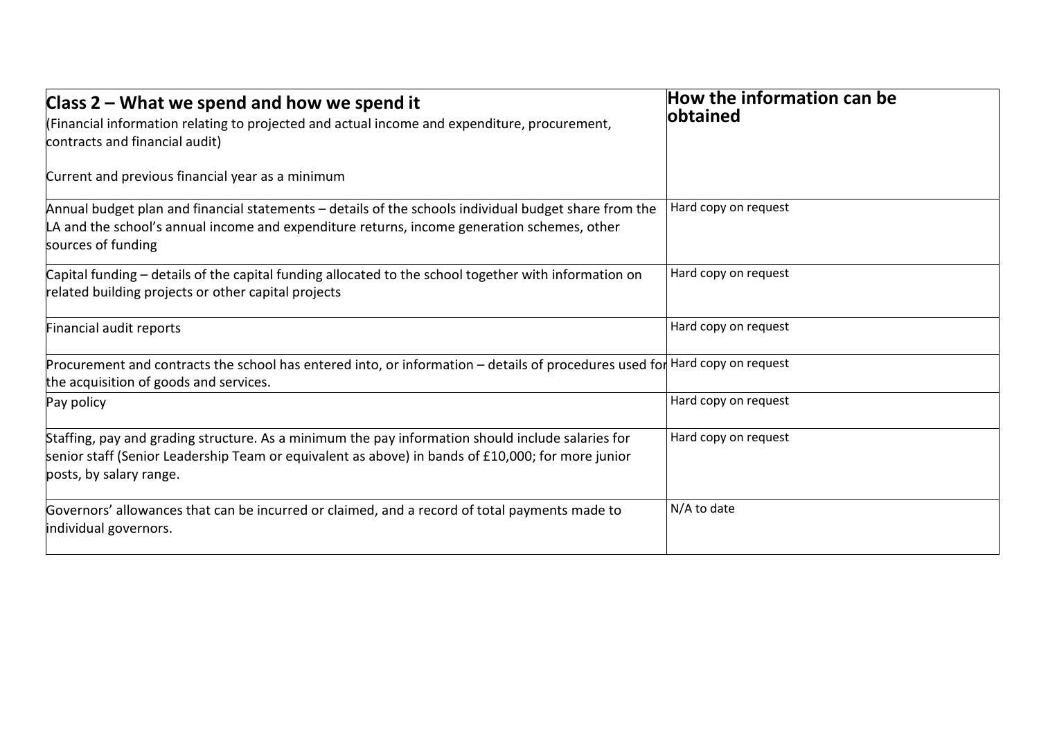| Class $2$ – What we spend and how we spend it                                                                                                                                                                                     | How the information can be |
|-----------------------------------------------------------------------------------------------------------------------------------------------------------------------------------------------------------------------------------|----------------------------|
| (Financial information relating to projected and actual income and expenditure, procurement,                                                                                                                                      | <b>lobtained</b>           |
| contracts and financial audit)                                                                                                                                                                                                    |                            |
| Current and previous financial year as a minimum                                                                                                                                                                                  |                            |
| Annual budget plan and financial statements – details of the schools individual budget share from the<br>LA and the school's annual income and expenditure returns, income generation schemes, other<br>sources of funding        | Hard copy on request       |
| Capital funding – details of the capital funding allocated to the school together with information on                                                                                                                             | Hard copy on request       |
| related building projects or other capital projects                                                                                                                                                                               |                            |
| Financial audit reports                                                                                                                                                                                                           | Hard copy on request       |
| Procurement and contracts the school has entered into, or information – details of procedures used for Hard copy on request                                                                                                       |                            |
| the acquisition of goods and services.                                                                                                                                                                                            |                            |
| Pay policy                                                                                                                                                                                                                        | Hard copy on request       |
| Staffing, pay and grading structure. As a minimum the pay information should include salaries for<br>senior staff (Senior Leadership Team or equivalent as above) in bands of £10,000; for more junior<br>posts, by salary range. | Hard copy on request       |
| Governors' allowances that can be incurred or claimed, and a record of total payments made to                                                                                                                                     | N/A to date                |
| individual governors.                                                                                                                                                                                                             |                            |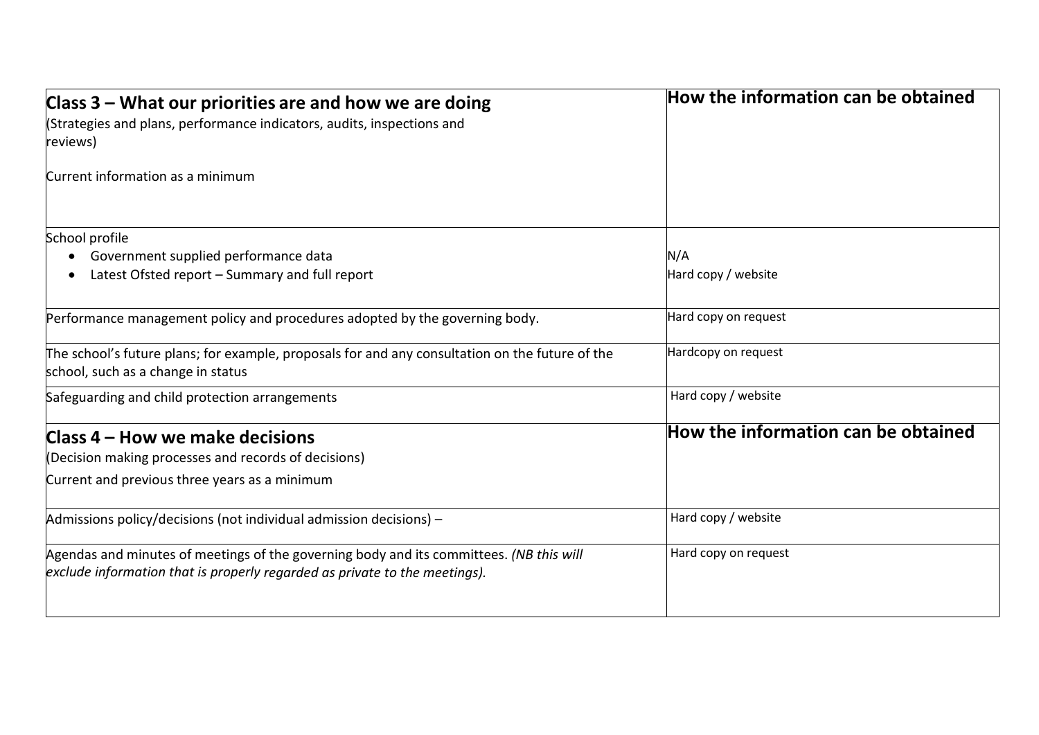| Class $3$ – What our priorities are and how we are doing                                                                                                              | How the information can be obtained |  |
|-----------------------------------------------------------------------------------------------------------------------------------------------------------------------|-------------------------------------|--|
| (Strategies and plans, performance indicators, audits, inspections and                                                                                                |                                     |  |
| reviews)                                                                                                                                                              |                                     |  |
| Current information as a minimum                                                                                                                                      |                                     |  |
| School profile                                                                                                                                                        |                                     |  |
| Government supplied performance data                                                                                                                                  | N/A                                 |  |
| Latest Ofsted report - Summary and full report                                                                                                                        | Hard copy / website                 |  |
| Performance management policy and procedures adopted by the governing body.                                                                                           | Hard copy on request                |  |
| The school's future plans; for example, proposals for and any consultation on the future of the<br>school, such as a change in status                                 | Hardcopy on request                 |  |
| Safeguarding and child protection arrangements                                                                                                                        | Hard copy / website                 |  |
| Class 4 – How we make decisions                                                                                                                                       | How the information can be obtained |  |
| (Decision making processes and records of decisions)                                                                                                                  |                                     |  |
| Current and previous three years as a minimum                                                                                                                         |                                     |  |
| Admissions policy/decisions (not individual admission decisions) -                                                                                                    | Hard copy / website                 |  |
| Agendas and minutes of meetings of the governing body and its committees. (NB this will<br>exclude information that is properly regarded as private to the meetings). | Hard copy on request                |  |
|                                                                                                                                                                       |                                     |  |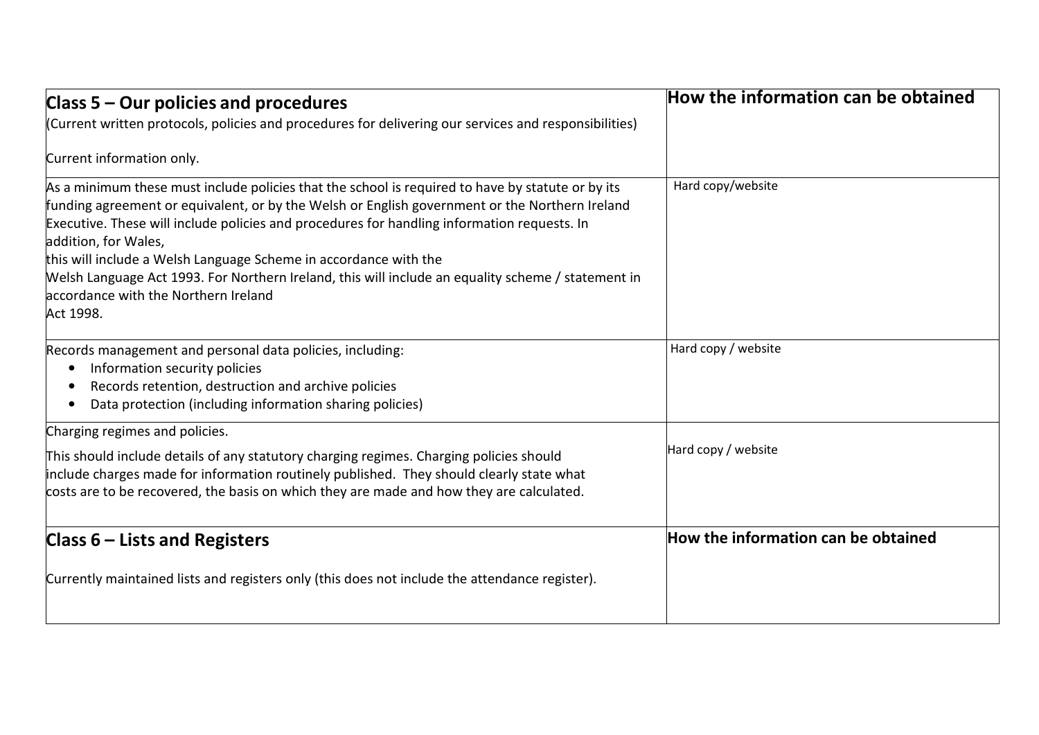| Class 5 – Our policies and procedures                                                                                                                                                                                                                                                                                                                                                                                                                                                                                                                     | How the information can be obtained |
|-----------------------------------------------------------------------------------------------------------------------------------------------------------------------------------------------------------------------------------------------------------------------------------------------------------------------------------------------------------------------------------------------------------------------------------------------------------------------------------------------------------------------------------------------------------|-------------------------------------|
| (Current written protocols, policies and procedures for delivering our services and responsibilities)                                                                                                                                                                                                                                                                                                                                                                                                                                                     |                                     |
| Current information only.                                                                                                                                                                                                                                                                                                                                                                                                                                                                                                                                 |                                     |
| As a minimum these must include policies that the school is required to have by statute or by its<br>funding agreement or equivalent, or by the Welsh or English government or the Northern Ireland<br>Executive. These will include policies and procedures for handling information requests. In<br>addition, for Wales,<br>this will include a Welsh Language Scheme in accordance with the<br>Welsh Language Act 1993. For Northern Ireland, this will include an equality scheme / statement in<br>accordance with the Northern Ireland<br>Act 1998. | Hard copy/website                   |
| Records management and personal data policies, including:<br>Information security policies<br>Records retention, destruction and archive policies<br>Data protection (including information sharing policies)                                                                                                                                                                                                                                                                                                                                             | Hard copy / website                 |
| Charging regimes and policies.                                                                                                                                                                                                                                                                                                                                                                                                                                                                                                                            |                                     |
| This should include details of any statutory charging regimes. Charging policies should<br>include charges made for information routinely published. They should clearly state what<br>costs are to be recovered, the basis on which they are made and how they are calculated.                                                                                                                                                                                                                                                                           | Hard copy / website                 |
| Class $6$ – Lists and Registers                                                                                                                                                                                                                                                                                                                                                                                                                                                                                                                           | How the information can be obtained |
| Currently maintained lists and registers only (this does not include the attendance register).                                                                                                                                                                                                                                                                                                                                                                                                                                                            |                                     |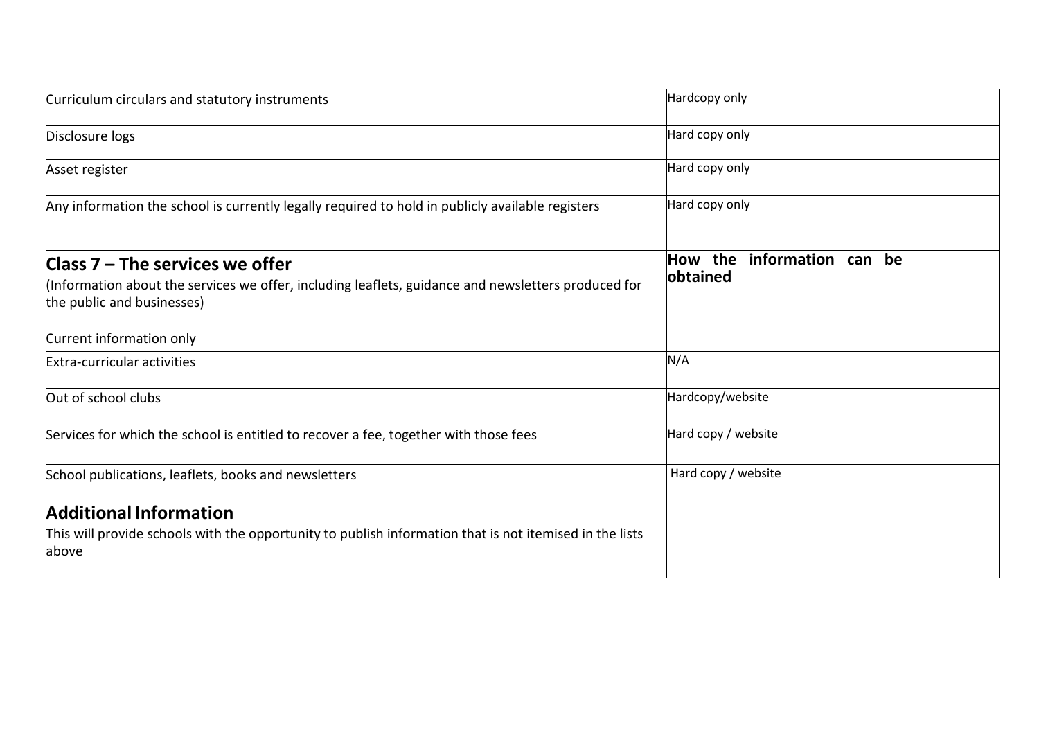| Curriculum circulars and statutory instruments                                                                                                                         | Hardcopy only                             |
|------------------------------------------------------------------------------------------------------------------------------------------------------------------------|-------------------------------------------|
| Disclosure logs                                                                                                                                                        | Hard copy only                            |
| Asset register                                                                                                                                                         | Hard copy only                            |
| Any information the school is currently legally required to hold in publicly available registers                                                                       | Hard copy only                            |
| Class $7$ – The services we offer<br>(Information about the services we offer, including leaflets, guidance and newsletters produced for<br>the public and businesses) | How the<br>information can be<br>obtained |
| Current information only                                                                                                                                               |                                           |
| Extra-curricular activities                                                                                                                                            | N/A                                       |
| Out of school clubs                                                                                                                                                    | Hardcopy/website                          |
| Services for which the school is entitled to recover a fee, together with those fees                                                                                   | Hard copy / website                       |
| School publications, leaflets, books and newsletters                                                                                                                   | Hard copy / website                       |
| <b>Additional Information</b><br>This will provide schools with the opportunity to publish information that is not itemised in the lists<br>above                      |                                           |